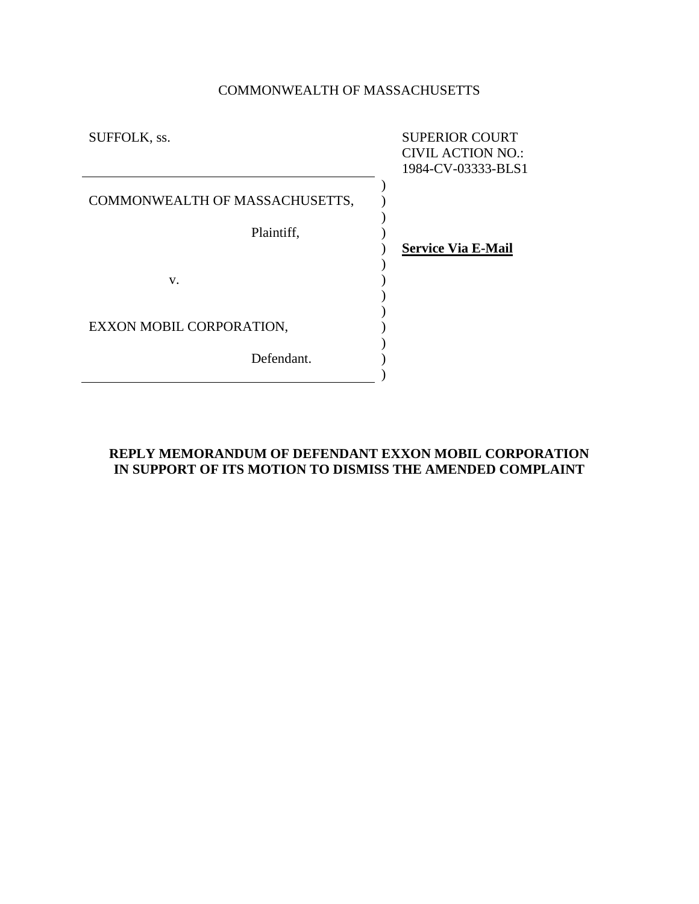# COMMONWEALTH OF MASSACHUSETTS

| SUFFOLK, ss.                   | <b>SUPERIOR COURT</b><br><b>CIVIL ACTION NO.:</b> |
|--------------------------------|---------------------------------------------------|
|                                | 1984-CV-03333-BLS1                                |
| COMMONWEALTH OF MASSACHUSETTS, |                                                   |
| Plaintiff,                     |                                                   |
|                                | <b>Service Via E-Mail</b>                         |
|                                |                                                   |
| V.                             |                                                   |
|                                |                                                   |
|                                |                                                   |
| EXXON MOBIL CORPORATION,       |                                                   |
|                                |                                                   |
| Defendant.                     |                                                   |
|                                |                                                   |

## **REPLY MEMORANDUM OF DEFENDANT EXXON MOBIL CORPORATION IN SUPPORT OF ITS MOTION TO DISMISS THE AMENDED COMPLAINT**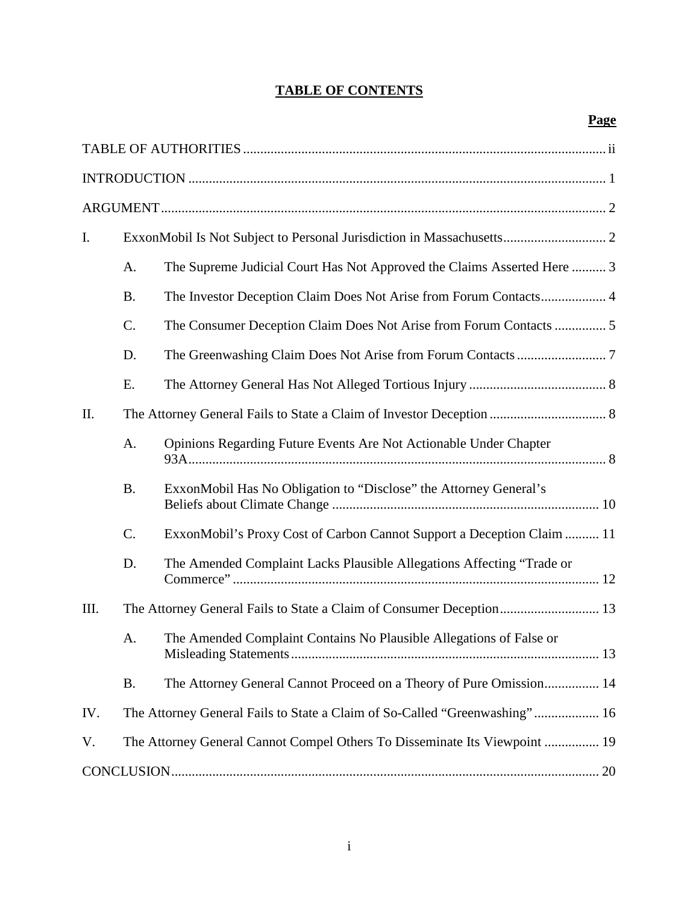# **TABLE OF CONTENTS**

| I.   |           |                                                                            |  |  |
|------|-----------|----------------------------------------------------------------------------|--|--|
|      | A.        | The Supreme Judicial Court Has Not Approved the Claims Asserted Here  3    |  |  |
|      | <b>B.</b> | The Investor Deception Claim Does Not Arise from Forum Contacts 4          |  |  |
|      | C.        | The Consumer Deception Claim Does Not Arise from Forum Contacts  5         |  |  |
|      | D.        |                                                                            |  |  |
|      | Ε.        |                                                                            |  |  |
| II.  |           |                                                                            |  |  |
|      | A.        | Opinions Regarding Future Events Are Not Actionable Under Chapter          |  |  |
|      | <b>B.</b> | ExxonMobil Has No Obligation to "Disclose" the Attorney General's          |  |  |
|      | C.        | ExxonMobil's Proxy Cost of Carbon Cannot Support a Deception Claim  11     |  |  |
|      | D.        | The Amended Complaint Lacks Plausible Allegations Affecting "Trade or      |  |  |
| III. |           | The Attorney General Fails to State a Claim of Consumer Deception 13       |  |  |
|      | A.        | The Amended Complaint Contains No Plausible Allegations of False or        |  |  |
|      | <b>B.</b> | The Attorney General Cannot Proceed on a Theory of Pure Omission 14        |  |  |
| IV.  |           | The Attorney General Fails to State a Claim of So-Called "Greenwashing" 16 |  |  |
| V.   |           | The Attorney General Cannot Compel Others To Disseminate Its Viewpoint  19 |  |  |
|      |           |                                                                            |  |  |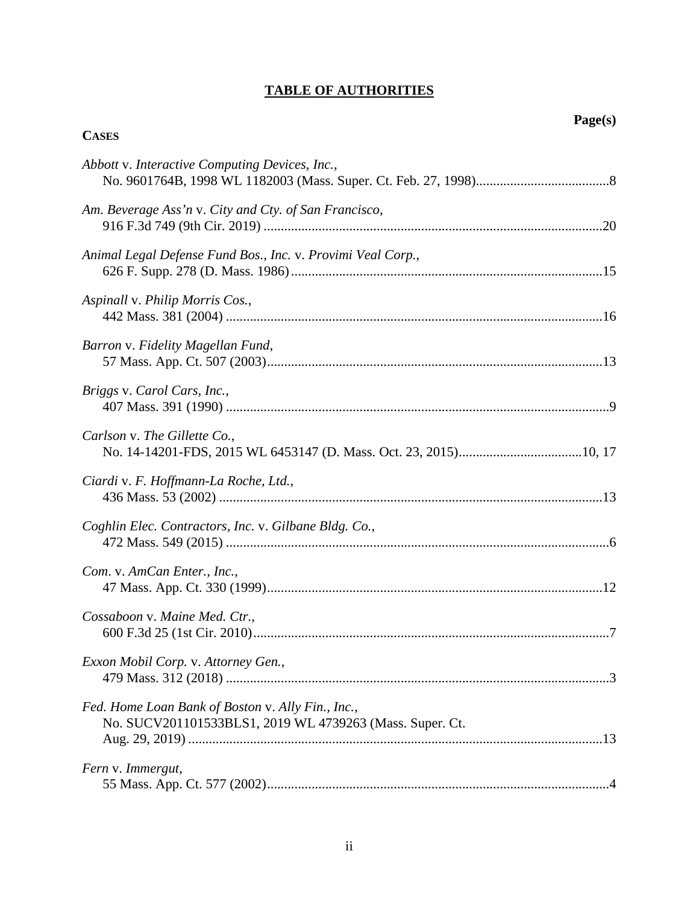## **TABLE OF AUTHORITIES**

**CASES**

# *Abbott* v. *Interactive Computing Devices, Inc.*, No. 9601764B, 1998 WL 1182003 (Mass. Super. Ct. Feb. 27, 1998).......................................8 *Am. Beverage Ass'n* v. *City and Cty. of San Francisco*, 916 F.3d 749 (9th Cir. 2019) ...................................................................................................20 *Animal Legal Defense Fund Bos., Inc.* v. *Provimi Veal Corp.*, 626 F. Supp. 278 (D. Mass. 1986)...........................................................................................15 *Aspinall* v. *Philip Morris Cos.*, 442 Mass. 381 (2004) ..............................................................................................................16

| Barron v. Fidelity Magellan Fund,                                                                             |  |
|---------------------------------------------------------------------------------------------------------------|--|
| Briggs v. Carol Cars, Inc.,                                                                                   |  |
| Carlson v. The Gillette Co.,                                                                                  |  |
| Ciardi v. F. Hoffmann-La Roche, Ltd.,                                                                         |  |
| Coghlin Elec. Contractors, Inc. v. Gilbane Bldg. Co.,                                                         |  |
| Com. v. AmCan Enter., Inc.,                                                                                   |  |
| Cossaboon v. Maine Med. Ctr.,                                                                                 |  |
| Exxon Mobil Corp. v. Attorney Gen.,                                                                           |  |
| Fed. Home Loan Bank of Boston v. Ally Fin., Inc.,<br>No. SUCV201101533BLS1, 2019 WL 4739263 (Mass. Super. Ct. |  |
| Fern v. Immergut,                                                                                             |  |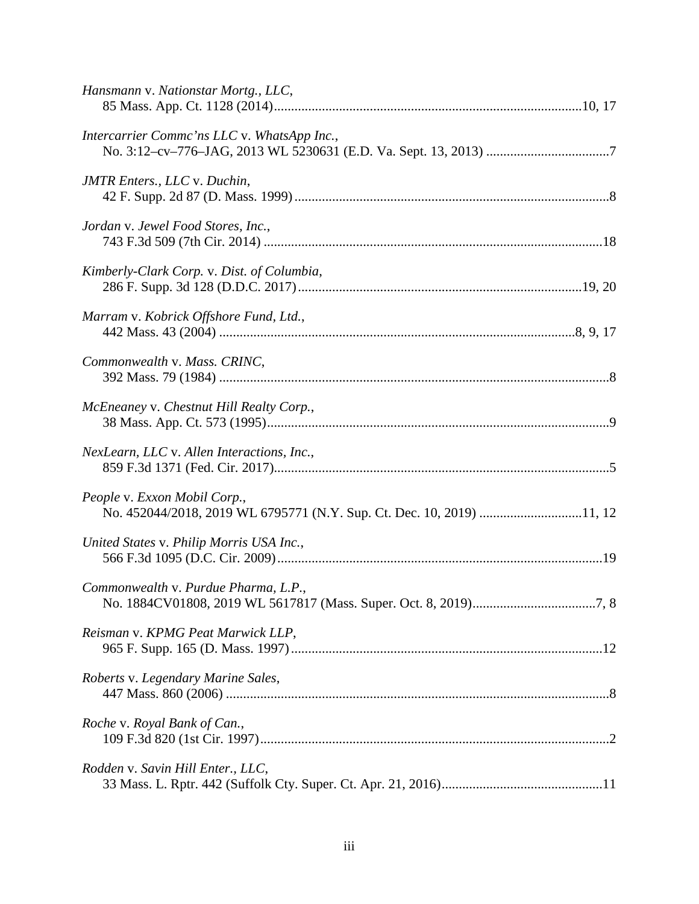| Hansmann v. Nationstar Mortg., LLC,                                                                   |
|-------------------------------------------------------------------------------------------------------|
| Intercarrier Commc'ns LLC v. WhatsApp Inc.,                                                           |
| <b>JMTR</b> Enters., LLC v. Duchin,                                                                   |
| Jordan v. Jewel Food Stores, Inc.,                                                                    |
| Kimberly-Clark Corp. v. Dist. of Columbia,                                                            |
| Marram v. Kobrick Offshore Fund, Ltd.,                                                                |
| Commonwealth v. Mass. CRINC,                                                                          |
| McEneaney v. Chestnut Hill Realty Corp.,                                                              |
| NexLearn, LLC v. Allen Interactions, Inc.,                                                            |
| People v. Exxon Mobil Corp.,<br>No. 452044/2018, 2019 WL 6795771 (N.Y. Sup. Ct. Dec. 10, 2019) 11, 12 |
| United States v. Philip Morris USA Inc.,                                                              |
| Commonwealth v. Purdue Pharma, L.P.,                                                                  |
| Reisman v. KPMG Peat Marwick LLP,                                                                     |
| Roberts v. Legendary Marine Sales,                                                                    |
| Roche v. Royal Bank of Can.,                                                                          |
| Rodden v. Savin Hill Enter., LLC,                                                                     |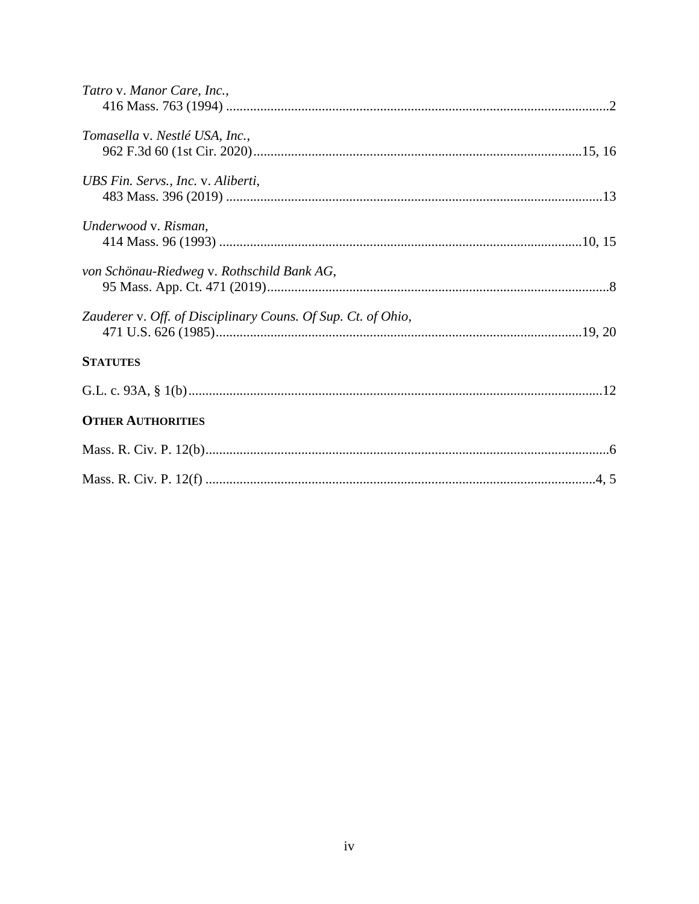| Tatro v. Manor Care, Inc.,                                   |  |
|--------------------------------------------------------------|--|
| Tomasella v. Nestlé USA, Inc.,                               |  |
| UBS Fin. Servs., Inc. v. Aliberti,                           |  |
| Underwood v. Risman,                                         |  |
| von Schönau-Riedweg v. Rothschild Bank AG,                   |  |
| Zauderer v. Off. of Disciplinary Couns. Of Sup. Ct. of Ohio, |  |
| <b>STATUTES</b>                                              |  |
|                                                              |  |
| <b>OTHER AUTHORITIES</b>                                     |  |
|                                                              |  |
|                                                              |  |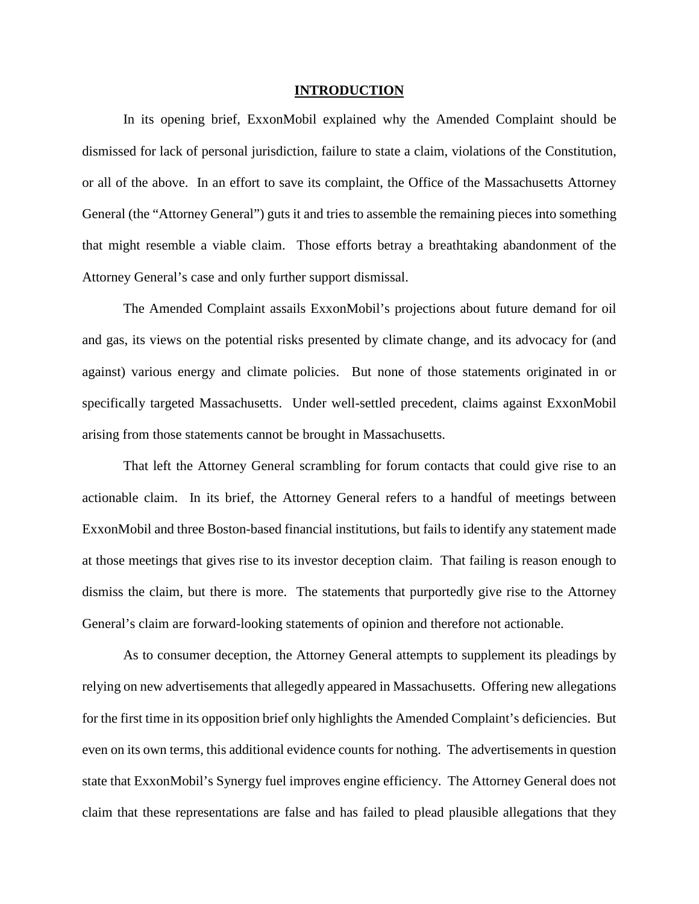#### **INTRODUCTION**

In its opening brief, ExxonMobil explained why the Amended Complaint should be dismissed for lack of personal jurisdiction, failure to state a claim, violations of the Constitution, or all of the above. In an effort to save its complaint, the Office of the Massachusetts Attorney General (the "Attorney General") guts it and tries to assemble the remaining pieces into something that might resemble a viable claim. Those efforts betray a breathtaking abandonment of the Attorney General's case and only further support dismissal.

The Amended Complaint assails ExxonMobil's projections about future demand for oil and gas, its views on the potential risks presented by climate change, and its advocacy for (and against) various energy and climate policies. But none of those statements originated in or specifically targeted Massachusetts. Under well-settled precedent, claims against ExxonMobil arising from those statements cannot be brought in Massachusetts.

That left the Attorney General scrambling for forum contacts that could give rise to an actionable claim. In its brief, the Attorney General refers to a handful of meetings between ExxonMobil and three Boston-based financial institutions, but fails to identify any statement made at those meetings that gives rise to its investor deception claim. That failing is reason enough to dismiss the claim, but there is more. The statements that purportedly give rise to the Attorney General's claim are forward-looking statements of opinion and therefore not actionable.

As to consumer deception, the Attorney General attempts to supplement its pleadings by relying on new advertisements that allegedly appeared in Massachusetts. Offering new allegations for the first time in its opposition brief only highlights the Amended Complaint's deficiencies. But even on its own terms, this additional evidence counts for nothing. The advertisements in question state that ExxonMobil's Synergy fuel improves engine efficiency. The Attorney General does not claim that these representations are false and has failed to plead plausible allegations that they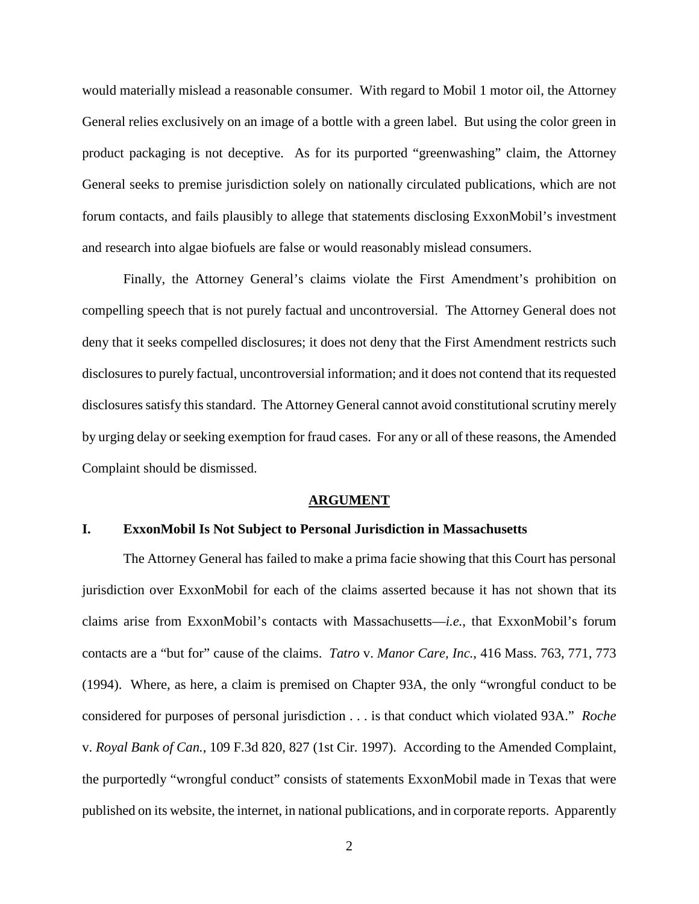would materially mislead a reasonable consumer. With regard to Mobil 1 motor oil, the Attorney General relies exclusively on an image of a bottle with a green label. But using the color green in product packaging is not deceptive. As for its purported "greenwashing" claim, the Attorney General seeks to premise jurisdiction solely on nationally circulated publications, which are not forum contacts, and fails plausibly to allege that statements disclosing ExxonMobil's investment and research into algae biofuels are false or would reasonably mislead consumers.

Finally, the Attorney General's claims violate the First Amendment's prohibition on compelling speech that is not purely factual and uncontroversial. The Attorney General does not deny that it seeks compelled disclosures; it does not deny that the First Amendment restricts such disclosures to purely factual, uncontroversial information; and it does not contend that its requested disclosures satisfy this standard. The Attorney General cannot avoid constitutional scrutiny merely by urging delay or seeking exemption for fraud cases. For any or all of these reasons, the Amended Complaint should be dismissed.

#### **ARGUMENT**

## **I. ExxonMobil Is Not Subject to Personal Jurisdiction in Massachusetts**

The Attorney General has failed to make a prima facie showing that this Court has personal jurisdiction over ExxonMobil for each of the claims asserted because it has not shown that its claims arise from ExxonMobil's contacts with Massachusetts—*i.e.*, that ExxonMobil's forum contacts are a "but for" cause of the claims. *Tatro* v. *Manor Care, Inc.*, 416 Mass. 763, 771, 773 (1994). Where, as here, a claim is premised on Chapter 93A, the only "wrongful conduct to be considered for purposes of personal jurisdiction . . . is that conduct which violated 93A." *Roche* v. *Royal Bank of Can.*, 109 F.3d 820, 827 (1st Cir. 1997). According to the Amended Complaint, the purportedly "wrongful conduct" consists of statements ExxonMobil made in Texas that were published on its website, the internet, in national publications, and in corporate reports. Apparently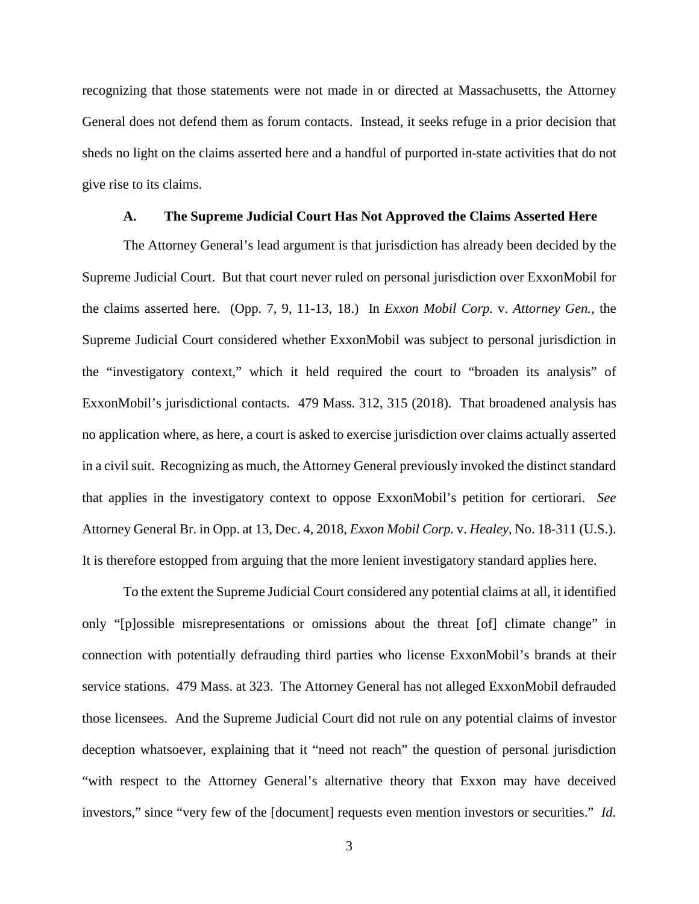recognizing that those statements were not made in or directed at Massachusetts, the Attorney General does not defend them as forum contacts. Instead, it seeks refuge in a prior decision that sheds no light on the claims asserted here and a handful of purported in-state activities that do not give rise to its claims.

#### **A. The Supreme Judicial Court Has Not Approved the Claims Asserted Here**

The Attorney General's lead argument is that jurisdiction has already been decided by the Supreme Judicial Court. But that court never ruled on personal jurisdiction over ExxonMobil for the claims asserted here. (Opp. 7, 9, 11-13, 18.) In *Exxon Mobil Corp.* v. *Attorney Gen.*, the Supreme Judicial Court considered whether ExxonMobil was subject to personal jurisdiction in the "investigatory context," which it held required the court to "broaden its analysis" of ExxonMobil's jurisdictional contacts. 479 Mass. 312, 315 (2018). That broadened analysis has no application where, as here, a court is asked to exercise jurisdiction over claims actually asserted in a civil suit. Recognizing as much, the Attorney General previously invoked the distinct standard that applies in the investigatory context to oppose ExxonMobil's petition for certiorari. *See*  Attorney General Br. in Opp. at 13, Dec. 4, 2018, *Exxon Mobil Corp.* v. *Healey*, No. 18-311 (U.S.). It is therefore estopped from arguing that the more lenient investigatory standard applies here.

To the extent the Supreme Judicial Court considered any potential claims at all, it identified only "[p]ossible misrepresentations or omissions about the threat [of] climate change" in connection with potentially defrauding third parties who license ExxonMobil's brands at their service stations. 479 Mass. at 323. The Attorney General has not alleged ExxonMobil defrauded those licensees. And the Supreme Judicial Court did not rule on any potential claims of investor deception whatsoever, explaining that it "need not reach" the question of personal jurisdiction "with respect to the Attorney General's alternative theory that Exxon may have deceived investors," since "very few of the [document] requests even mention investors or securities." *Id.*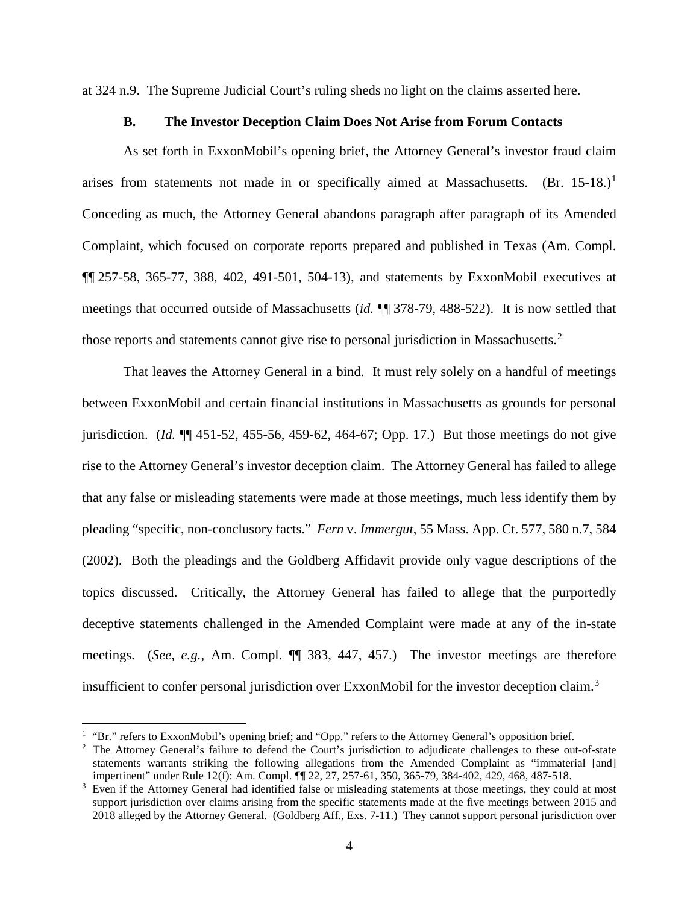at 324 n.9. The Supreme Judicial Court's ruling sheds no light on the claims asserted here.

#### **B. The Investor Deception Claim Does Not Arise from Forum Contacts**

As set forth in ExxonMobil's opening brief, the Attorney General's investor fraud claim arises from statements not made in or specifically aimed at Massachusetts.  $(Br. 15-18.)^1$ Conceding as much, the Attorney General abandons paragraph after paragraph of its Amended Complaint, which focused on corporate reports prepared and published in Texas (Am. Compl. ¶¶ 257-58, 365-77, 388, 402, 491-501, 504-13), and statements by ExxonMobil executives at meetings that occurred outside of Massachusetts (*id.* ¶¶ 378-79, 488-522). It is now settled that those reports and statements cannot give rise to personal jurisdiction in Massachusetts.<sup>2</sup>

That leaves the Attorney General in a bind. It must rely solely on a handful of meetings between ExxonMobil and certain financial institutions in Massachusetts as grounds for personal jurisdiction. (*Id.* ¶¶ 451-52, 455-56, 459-62, 464-67; Opp. 17.) But those meetings do not give rise to the Attorney General's investor deception claim. The Attorney General has failed to allege that any false or misleading statements were made at those meetings, much less identify them by pleading "specific, non-conclusory facts." *Fern* v. *Immergut*, 55 Mass. App. Ct. 577, 580 n.7, 584 (2002). Both the pleadings and the Goldberg Affidavit provide only vague descriptions of the topics discussed. Critically, the Attorney General has failed to allege that the purportedly deceptive statements challenged in the Amended Complaint were made at any of the in-state meetings. (*See, e.g.*, Am. Compl. ¶¶ 383, 447, 457.) The investor meetings are therefore insufficient to confer personal jurisdiction over ExxonMobil for the investor deception claim.<sup>3</sup>

<sup>&</sup>lt;sup>1</sup> "Br." refers to ExxonMobil's opening brief; and "Opp." refers to the Attorney General's opposition brief.

<sup>&</sup>lt;sup>2</sup> The Attorney General's failure to defend the Court's jurisdiction to adjudicate challenges to these out-of-state statements warrants striking the following allegations from the Amended Complaint as "immaterial [and] impertinent" under Rule 12(f): Am. Compl. ¶¶ 22, 27, 257-61, 350, 365-79, 384-402, 429, 468, 487-518.

<sup>&</sup>lt;sup>3</sup> Even if the Attorney General had identified false or misleading statements at those meetings, they could at most support jurisdiction over claims arising from the specific statements made at the five meetings between 2015 and 2018 alleged by the Attorney General. (Goldberg Aff., Exs. 7-11.) They cannot support personal jurisdiction over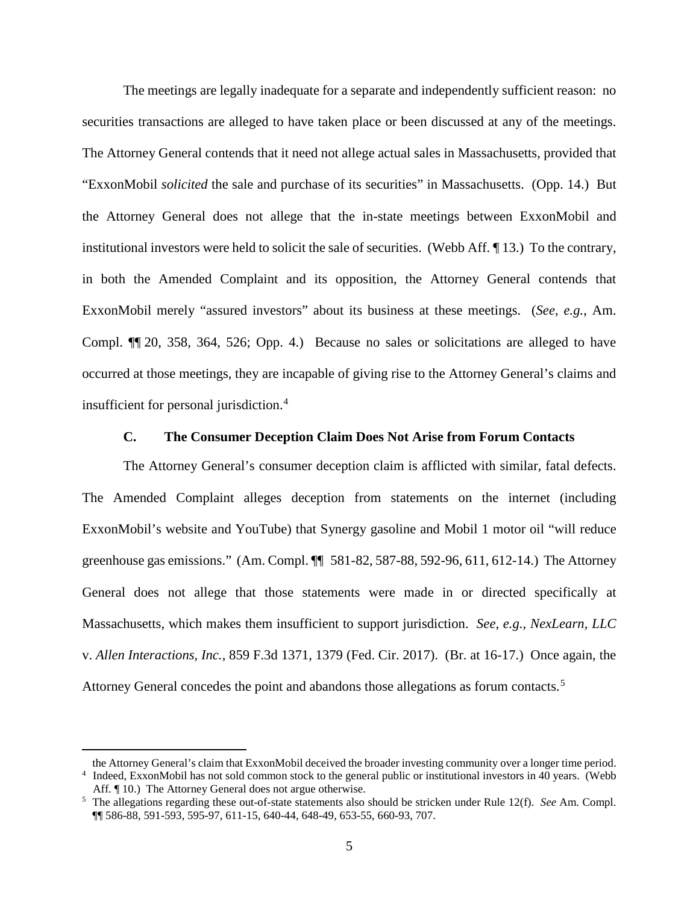The meetings are legally inadequate for a separate and independently sufficient reason: no securities transactions are alleged to have taken place or been discussed at any of the meetings. The Attorney General contends that it need not allege actual sales in Massachusetts, provided that "ExxonMobil *solicited* the sale and purchase of its securities" in Massachusetts. (Opp. 14.) But the Attorney General does not allege that the in-state meetings between ExxonMobil and institutional investors were held to solicit the sale of securities. (Webb Aff. ¶ 13.) To the contrary, in both the Amended Complaint and its opposition, the Attorney General contends that ExxonMobil merely "assured investors" about its business at these meetings. (*See, e.g.*, Am. Compl. ¶¶ 20, 358, 364, 526; Opp. 4.) Because no sales or solicitations are alleged to have occurred at those meetings, they are incapable of giving rise to the Attorney General's claims and insufficient for personal jurisdiction.<sup>4</sup>

#### **C. The Consumer Deception Claim Does Not Arise from Forum Contacts**

The Attorney General's consumer deception claim is afflicted with similar, fatal defects. The Amended Complaint alleges deception from statements on the internet (including ExxonMobil's website and YouTube) that Synergy gasoline and Mobil 1 motor oil "will reduce greenhouse gas emissions." (Am. Compl. ¶¶ 581-82, 587-88, 592-96, 611, 612-14.) The Attorney General does not allege that those statements were made in or directed specifically at Massachusetts, which makes them insufficient to support jurisdiction. *See, e.g.*, *NexLearn, LLC* v. *Allen Interactions, Inc.*, 859 F.3d 1371, 1379 (Fed. Cir. 2017). (Br. at 16-17.) Once again, the Attorney General concedes the point and abandons those allegations as forum contacts.<sup>5</sup>

 $\overline{a}$ 

the Attorney General's claim that ExxonMobil deceived the broader investing community over a longer time period. <sup>4</sup> Indeed, ExxonMobil has not sold common stock to the general public or institutional investors in 40 years. (Webb Aff. ¶ 10.) The Attorney General does not argue otherwise.

<sup>5</sup> The allegations regarding these out-of-state statements also should be stricken under Rule 12(f). *See* Am. Compl. ¶¶ 586-88, 591-593, 595-97, 611-15, 640-44, 648-49, 653-55, 660-93, 707.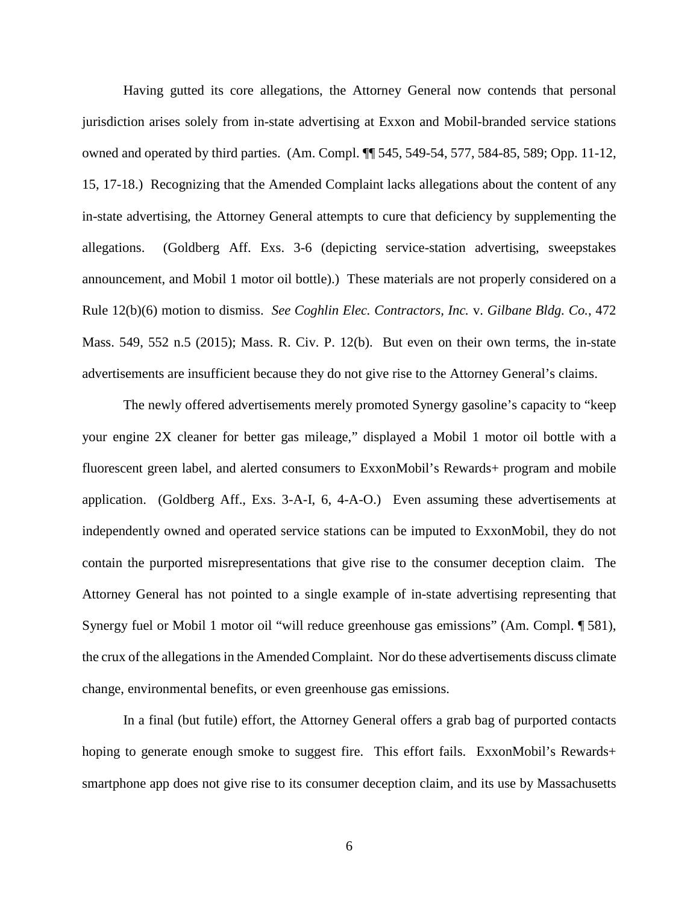Having gutted its core allegations, the Attorney General now contends that personal jurisdiction arises solely from in-state advertising at Exxon and Mobil-branded service stations owned and operated by third parties. (Am. Compl. ¶¶ 545, 549-54, 577, 584-85, 589; Opp. 11-12, 15, 17-18.) Recognizing that the Amended Complaint lacks allegations about the content of any in-state advertising, the Attorney General attempts to cure that deficiency by supplementing the allegations. (Goldberg Aff. Exs. 3-6 (depicting service-station advertising, sweepstakes announcement, and Mobil 1 motor oil bottle).) These materials are not properly considered on a Rule 12(b)(6) motion to dismiss. *See Coghlin Elec. Contractors, Inc.* v. *Gilbane Bldg. Co.*, 472 Mass. 549, 552 n.5 (2015); Mass. R. Civ. P. 12(b). But even on their own terms, the in-state advertisements are insufficient because they do not give rise to the Attorney General's claims.

The newly offered advertisements merely promoted Synergy gasoline's capacity to "keep your engine 2X cleaner for better gas mileage," displayed a Mobil 1 motor oil bottle with a fluorescent green label, and alerted consumers to ExxonMobil's Rewards+ program and mobile application. (Goldberg Aff., Exs. 3-A-I, 6, 4-A-O.) Even assuming these advertisements at independently owned and operated service stations can be imputed to ExxonMobil, they do not contain the purported misrepresentations that give rise to the consumer deception claim. The Attorney General has not pointed to a single example of in-state advertising representing that Synergy fuel or Mobil 1 motor oil "will reduce greenhouse gas emissions" (Am. Compl. ¶ 581), the crux of the allegations in the Amended Complaint. Nor do these advertisements discuss climate change, environmental benefits, or even greenhouse gas emissions.

In a final (but futile) effort, the Attorney General offers a grab bag of purported contacts hoping to generate enough smoke to suggest fire. This effort fails. ExxonMobil's Rewards+ smartphone app does not give rise to its consumer deception claim, and its use by Massachusetts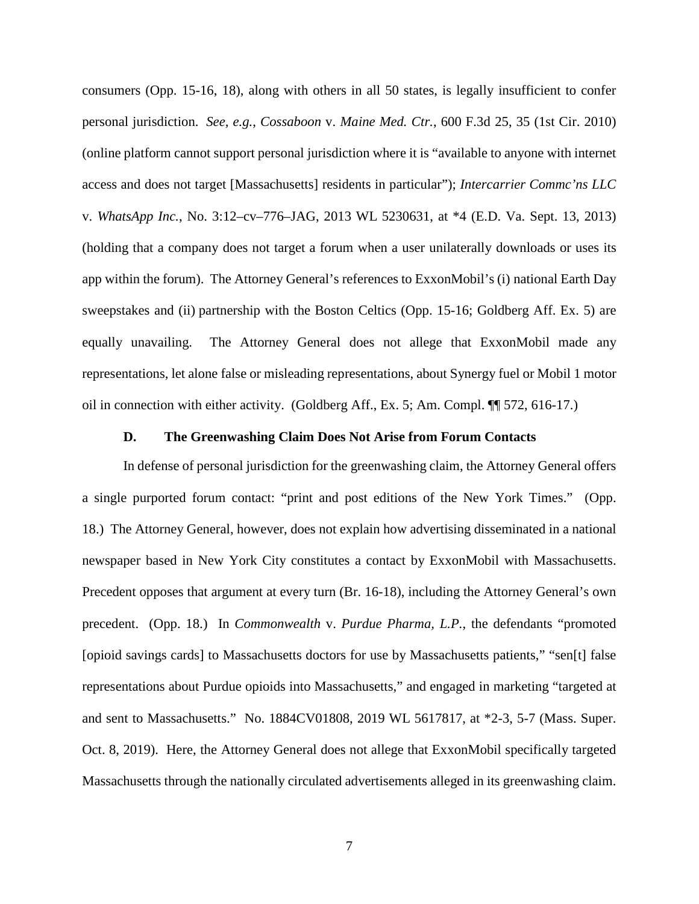consumers (Opp. 15-16, 18), along with others in all 50 states, is legally insufficient to confer personal jurisdiction. *See, e.g.*, *Cossaboon* v. *Maine Med. Ctr.*, 600 F.3d 25, 35 (1st Cir. 2010) (online platform cannot support personal jurisdiction where it is "available to anyone with internet access and does not target [Massachusetts] residents in particular"); *Intercarrier Commc'ns LLC* v. *WhatsApp Inc.*, No. 3:12–cv–776–JAG, 2013 WL 5230631, at \*4 (E.D. Va. Sept. 13, 2013) (holding that a company does not target a forum when a user unilaterally downloads or uses its app within the forum). The Attorney General's references to ExxonMobil's (i) national Earth Day sweepstakes and (ii) partnership with the Boston Celtics (Opp. 15-16; Goldberg Aff. Ex. 5) are equally unavailing. The Attorney General does not allege that ExxonMobil made any representations, let alone false or misleading representations, about Synergy fuel or Mobil 1 motor oil in connection with either activity. (Goldberg Aff., Ex. 5; Am. Compl. ¶¶ 572, 616-17.)

#### **D. The Greenwashing Claim Does Not Arise from Forum Contacts**

In defense of personal jurisdiction for the greenwashing claim, the Attorney General offers a single purported forum contact: "print and post editions of the New York Times." (Opp. 18.) The Attorney General, however, does not explain how advertising disseminated in a national newspaper based in New York City constitutes a contact by ExxonMobil with Massachusetts. Precedent opposes that argument at every turn (Br. 16-18), including the Attorney General's own precedent. (Opp. 18.) In *Commonwealth* v. *Purdue Pharma, L.P.*, the defendants "promoted [opioid savings cards] to Massachusetts doctors for use by Massachusetts patients," "sen[t] false representations about Purdue opioids into Massachusetts," and engaged in marketing "targeted at and sent to Massachusetts." No. 1884CV01808, 2019 WL 5617817, at \*2-3, 5-7 (Mass. Super. Oct. 8, 2019). Here, the Attorney General does not allege that ExxonMobil specifically targeted Massachusetts through the nationally circulated advertisements alleged in its greenwashing claim.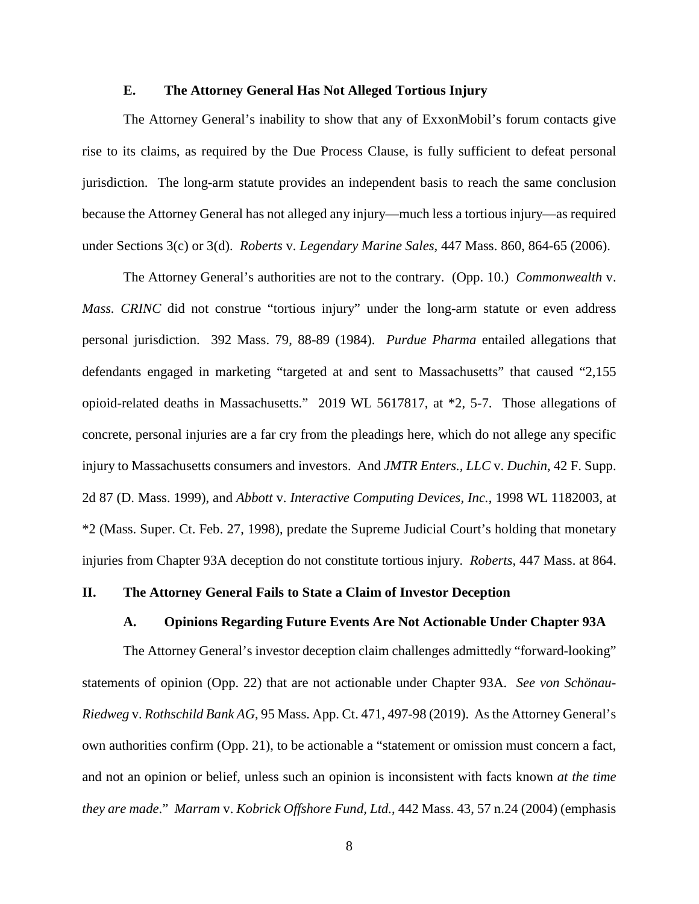#### **E. The Attorney General Has Not Alleged Tortious Injury**

The Attorney General's inability to show that any of ExxonMobil's forum contacts give rise to its claims, as required by the Due Process Clause, is fully sufficient to defeat personal jurisdiction. The long-arm statute provides an independent basis to reach the same conclusion because the Attorney General has not alleged any injury—much less a tortious injury—as required under Sections 3(c) or 3(d). *Roberts* v. *Legendary Marine Sales*, 447 Mass. 860, 864-65 (2006).

The Attorney General's authorities are not to the contrary. (Opp. 10.) *Commonwealth* v. *Mass. CRINC* did not construe "tortious injury" under the long-arm statute or even address personal jurisdiction. 392 Mass. 79, 88-89 (1984). *Purdue Pharma* entailed allegations that defendants engaged in marketing "targeted at and sent to Massachusetts" that caused "2,155 opioid-related deaths in Massachusetts." 2019 WL 5617817, at \*2, 5-7. Those allegations of concrete, personal injuries are a far cry from the pleadings here, which do not allege any specific injury to Massachusetts consumers and investors. And *JMTR Enters., LLC* v. *Duchin*, 42 F. Supp. 2d 87 (D. Mass. 1999), and *Abbott* v. *Interactive Computing Devices, Inc.*, 1998 WL 1182003, at \*2 (Mass. Super. Ct. Feb. 27, 1998), predate the Supreme Judicial Court's holding that monetary injuries from Chapter 93A deception do not constitute tortious injury. *Roberts*, 447 Mass. at 864.

## **II. The Attorney General Fails to State a Claim of Investor Deception**

#### **A. Opinions Regarding Future Events Are Not Actionable Under Chapter 93A**

The Attorney General's investor deception claim challenges admittedly "forward-looking" statements of opinion (Opp. 22) that are not actionable under Chapter 93A. *See von Schönau-Riedweg* v. *Rothschild Bank AG*, 95 Mass. App. Ct. 471, 497-98 (2019).As the Attorney General's own authorities confirm (Opp. 21), to be actionable a "statement or omission must concern a fact, and not an opinion or belief, unless such an opinion is inconsistent with facts known *at the time they are made*." *Marram* v. *Kobrick Offshore Fund, Ltd.*, 442 Mass. 43, 57 n.24 (2004) (emphasis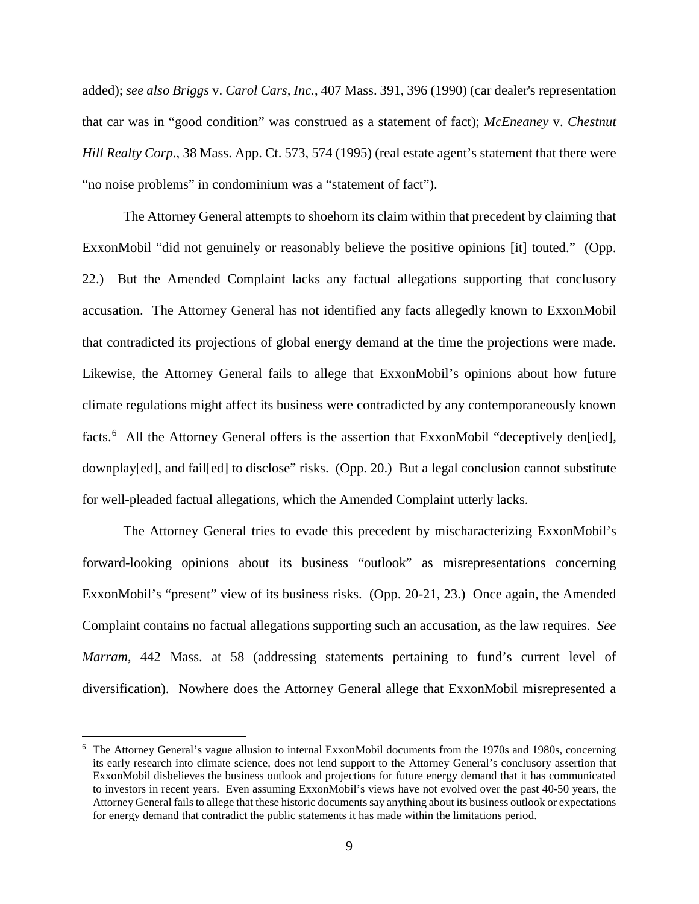added); *see also Briggs* v. *Carol Cars, Inc.*, 407 Mass. 391, 396 (1990) (car dealer's representation that car was in "good condition" was construed as a statement of fact); *McEneaney* v. *Chestnut Hill Realty Corp.*, 38 Mass. App. Ct. 573, 574 (1995) (real estate agent's statement that there were "no noise problems" in condominium was a "statement of fact").

The Attorney General attempts to shoehorn its claim within that precedent by claiming that ExxonMobil "did not genuinely or reasonably believe the positive opinions [it] touted." (Opp. 22.) But the Amended Complaint lacks any factual allegations supporting that conclusory accusation. The Attorney General has not identified any facts allegedly known to ExxonMobil that contradicted its projections of global energy demand at the time the projections were made. Likewise, the Attorney General fails to allege that ExxonMobil's opinions about how future climate regulations might affect its business were contradicted by any contemporaneously known facts. <sup>6</sup> All the Attorney General offers is the assertion that ExxonMobil "deceptively den[ied], downplay[ed], and fail[ed] to disclose" risks. (Opp. 20.) But a legal conclusion cannot substitute for well-pleaded factual allegations, which the Amended Complaint utterly lacks.

The Attorney General tries to evade this precedent by mischaracterizing ExxonMobil's forward-looking opinions about its business "outlook" as misrepresentations concerning ExxonMobil's "present" view of its business risks. (Opp. 20-21, 23.) Once again, the Amended Complaint contains no factual allegations supporting such an accusation, as the law requires. *See Marram*, 442 Mass. at 58 (addressing statements pertaining to fund's current level of diversification). Nowhere does the Attorney General allege that ExxonMobil misrepresented a

 <sup>6</sup> The Attorney General's vague allusion to internal ExxonMobil documents from the 1970s and 1980s, concerning its early research into climate science, does not lend support to the Attorney General's conclusory assertion that ExxonMobil disbelieves the business outlook and projections for future energy demand that it has communicated to investors in recent years. Even assuming ExxonMobil's views have not evolved over the past 40-50 years, the Attorney General fails to allege that these historic documents say anything about its business outlook or expectations for energy demand that contradict the public statements it has made within the limitations period.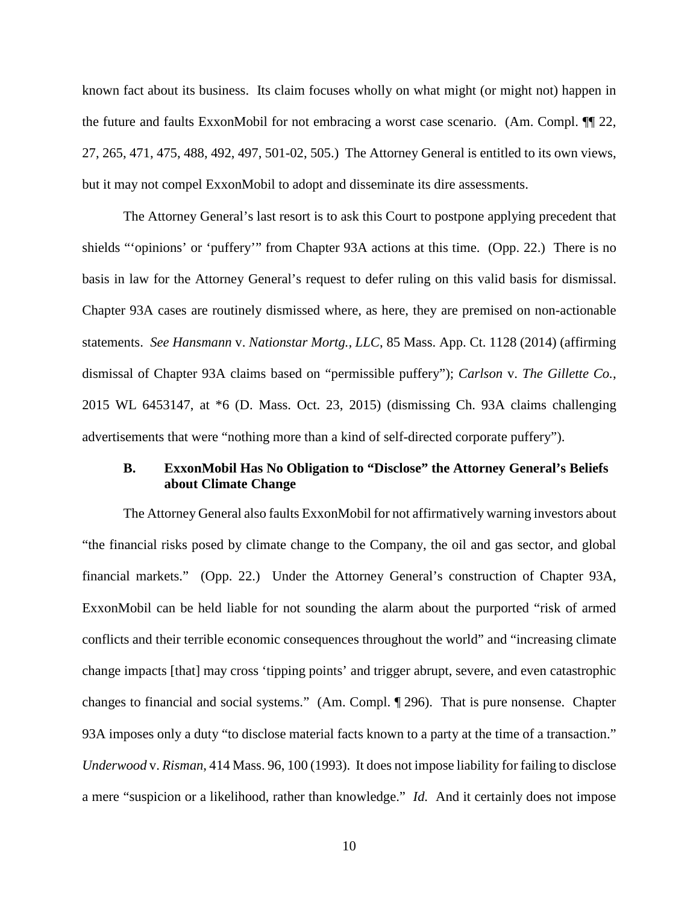known fact about its business. Its claim focuses wholly on what might (or might not) happen in the future and faults ExxonMobil for not embracing a worst case scenario. (Am. Compl. ¶¶ 22, 27, 265, 471, 475, 488, 492, 497, 501-02, 505.) The Attorney General is entitled to its own views, but it may not compel ExxonMobil to adopt and disseminate its dire assessments.

The Attorney General's last resort is to ask this Court to postpone applying precedent that shields "'opinions' or 'puffery'" from Chapter 93A actions at this time. (Opp. 22.) There is no basis in law for the Attorney General's request to defer ruling on this valid basis for dismissal. Chapter 93A cases are routinely dismissed where, as here, they are premised on non-actionable statements. *See Hansmann* v. *Nationstar Mortg., LLC*, 85 Mass. App. Ct. 1128 (2014) (affirming dismissal of Chapter 93A claims based on "permissible puffery"); *Carlson* v. *The Gillette Co.*, 2015 WL 6453147, at \*6 (D. Mass. Oct. 23, 2015) (dismissing Ch. 93A claims challenging advertisements that were "nothing more than a kind of self-directed corporate puffery").

## **B. ExxonMobil Has No Obligation to "Disclose" the Attorney General's Beliefs about Climate Change**

The Attorney General also faults ExxonMobil for not affirmatively warning investors about "the financial risks posed by climate change to the Company, the oil and gas sector, and global financial markets." (Opp. 22.) Under the Attorney General's construction of Chapter 93A, ExxonMobil can be held liable for not sounding the alarm about the purported "risk of armed conflicts and their terrible economic consequences throughout the world" and "increasing climate change impacts [that] may cross 'tipping points' and trigger abrupt, severe, and even catastrophic changes to financial and social systems." (Am. Compl. ¶ 296). That is pure nonsense. Chapter 93A imposes only a duty "to disclose material facts known to a party at the time of a transaction." *Underwood* v. *Risman*, 414 Mass. 96, 100 (1993). It does not impose liability for failing to disclose a mere "suspicion or a likelihood, rather than knowledge." *Id.* And it certainly does not impose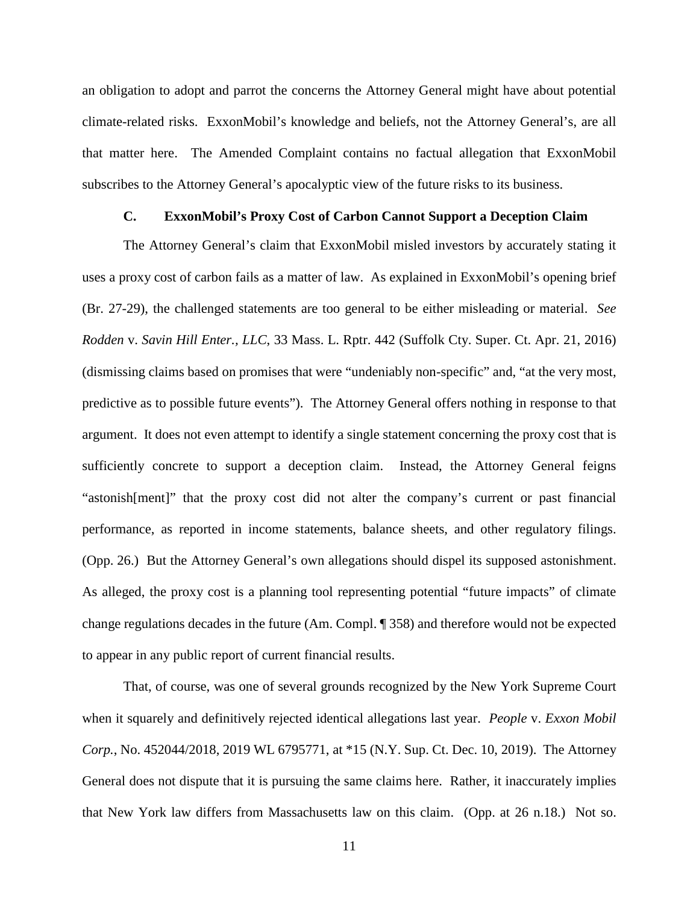an obligation to adopt and parrot the concerns the Attorney General might have about potential climate-related risks. ExxonMobil's knowledge and beliefs, not the Attorney General's, are all that matter here. The Amended Complaint contains no factual allegation that ExxonMobil subscribes to the Attorney General's apocalyptic view of the future risks to its business.

## **C. ExxonMobil's Proxy Cost of Carbon Cannot Support a Deception Claim**

The Attorney General's claim that ExxonMobil misled investors by accurately stating it uses a proxy cost of carbon fails as a matter of law. As explained in ExxonMobil's opening brief (Br. 27-29), the challenged statements are too general to be either misleading or material. *See Rodden* v. *Savin Hill Enter., LLC*, 33 Mass. L. Rptr. 442 (Suffolk Cty. Super. Ct. Apr. 21, 2016) (dismissing claims based on promises that were "undeniably non-specific" and, "at the very most, predictive as to possible future events").The Attorney General offers nothing in response to that argument. It does not even attempt to identify a single statement concerning the proxy cost that is sufficiently concrete to support a deception claim. Instead, the Attorney General feigns "astonish[ment]" that the proxy cost did not alter the company's current or past financial performance, as reported in income statements, balance sheets, and other regulatory filings. (Opp. 26.) But the Attorney General's own allegations should dispel its supposed astonishment. As alleged, the proxy cost is a planning tool representing potential "future impacts" of climate change regulations decades in the future (Am. Compl. ¶ 358) and therefore would not be expected to appear in any public report of current financial results.

That, of course, was one of several grounds recognized by the New York Supreme Court when it squarely and definitively rejected identical allegations last year. *People* v. *Exxon Mobil Corp.*, No. 452044/2018, 2019 WL 6795771, at \*15 (N.Y. Sup. Ct. Dec. 10, 2019). The Attorney General does not dispute that it is pursuing the same claims here. Rather, it inaccurately implies that New York law differs from Massachusetts law on this claim. (Opp. at 26 n.18.) Not so.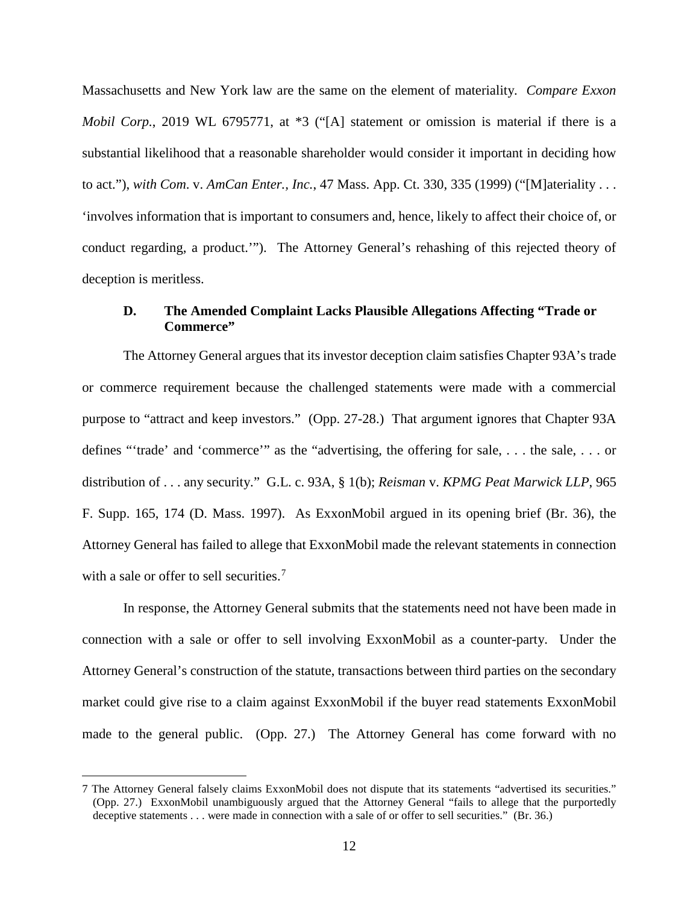Massachusetts and New York law are the same on the element of materiality. *Compare Exxon Mobil Corp.*, 2019 WL 6795771, at \*3 ("[A] statement or omission is material if there is a substantial likelihood that a reasonable shareholder would consider it important in deciding how to act."), *with Com*. v. *AmCan Enter., Inc.*, 47 Mass. App. Ct. 330, 335 (1999) ("[M]ateriality . . . 'involves information that is important to consumers and, hence, likely to affect their choice of, or conduct regarding, a product.'"). The Attorney General's rehashing of this rejected theory of deception is meritless.

## **D. The Amended Complaint Lacks Plausible Allegations Affecting "Trade or Commerce"**

The Attorney General argues that its investor deception claim satisfies Chapter 93A's trade or commerce requirement because the challenged statements were made with a commercial purpose to "attract and keep investors." (Opp. 27-28.) That argument ignores that Chapter 93A defines "'trade' and 'commerce'" as the "advertising, the offering for sale, . . . the sale, . . . or distribution of . . . any security." G.L. c. 93A, § 1(b); *Reisman* v. *KPMG Peat Marwick LLP*, 965 F. Supp. 165, 174 (D. Mass. 1997). As ExxonMobil argued in its opening brief (Br. 36), the Attorney General has failed to allege that ExxonMobil made the relevant statements in connection with a sale or offer to sell securities.<sup>7</sup>

In response, the Attorney General submits that the statements need not have been made in connection with a sale or offer to sell involving ExxonMobil as a counter-party. Under the Attorney General's construction of the statute, transactions between third parties on the secondary market could give rise to a claim against ExxonMobil if the buyer read statements ExxonMobil made to the general public. (Opp. 27.) The Attorney General has come forward with no

 <sup>7</sup> The Attorney General falsely claims ExxonMobil does not dispute that its statements "advertised its securities." (Opp. 27.) ExxonMobil unambiguously argued that the Attorney General "fails to allege that the purportedly deceptive statements . . . were made in connection with a sale of or offer to sell securities." (Br. 36.)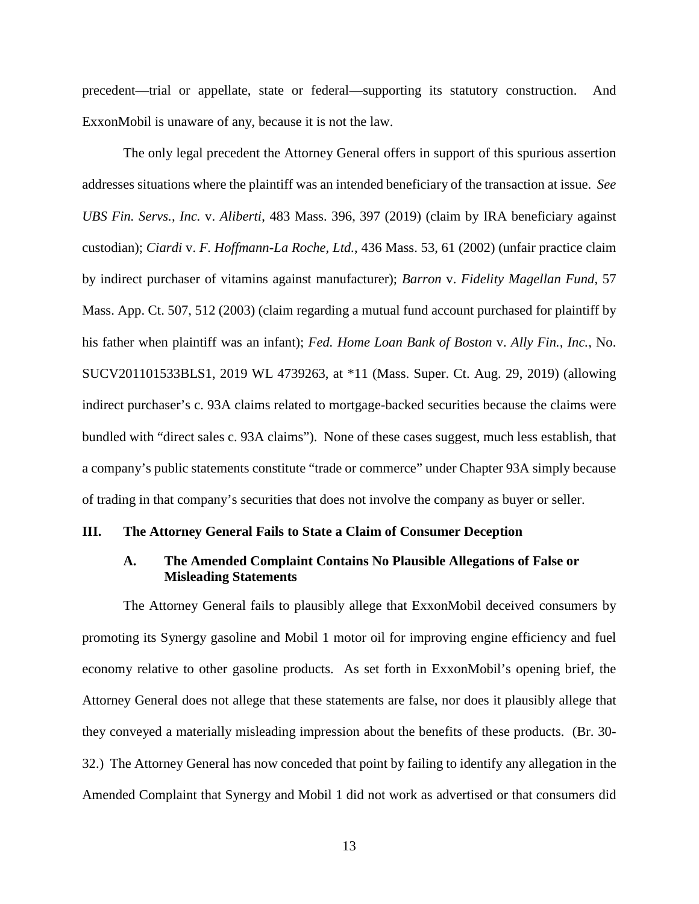precedent—trial or appellate, state or federal—supporting its statutory construction. And ExxonMobil is unaware of any, because it is not the law.

The only legal precedent the Attorney General offers in support of this spurious assertion addresses situations where the plaintiff was an intended beneficiary of the transaction at issue. *See UBS Fin. Servs., Inc.* v. *Aliberti*, 483 Mass. 396, 397 (2019) (claim by IRA beneficiary against custodian); *Ciardi* v. *F. Hoffmann-La Roche, Ltd.*, 436 Mass. 53, 61 (2002) (unfair practice claim by indirect purchaser of vitamins against manufacturer); *Barron* v. *Fidelity Magellan Fund*, 57 Mass. App. Ct. 507, 512 (2003) (claim regarding a mutual fund account purchased for plaintiff by his father when plaintiff was an infant); *Fed. Home Loan Bank of Boston* v. *Ally Fin., Inc.*, No. SUCV201101533BLS1, 2019 WL 4739263, at \*11 (Mass. Super. Ct. Aug. 29, 2019) (allowing indirect purchaser's c. 93A claims related to mortgage-backed securities because the claims were bundled with "direct sales c. 93A claims"). None of these cases suggest, much less establish, that a company's public statements constitute "trade or commerce" under Chapter 93A simply because of trading in that company's securities that does not involve the company as buyer or seller.

#### **III. The Attorney General Fails to State a Claim of Consumer Deception**

## **A. The Amended Complaint Contains No Plausible Allegations of False or Misleading Statements**

The Attorney General fails to plausibly allege that ExxonMobil deceived consumers by promoting its Synergy gasoline and Mobil 1 motor oil for improving engine efficiency and fuel economy relative to other gasoline products. As set forth in ExxonMobil's opening brief, the Attorney General does not allege that these statements are false, nor does it plausibly allege that they conveyed a materially misleading impression about the benefits of these products. (Br. 30- 32.) The Attorney General has now conceded that point by failing to identify any allegation in the Amended Complaint that Synergy and Mobil 1 did not work as advertised or that consumers did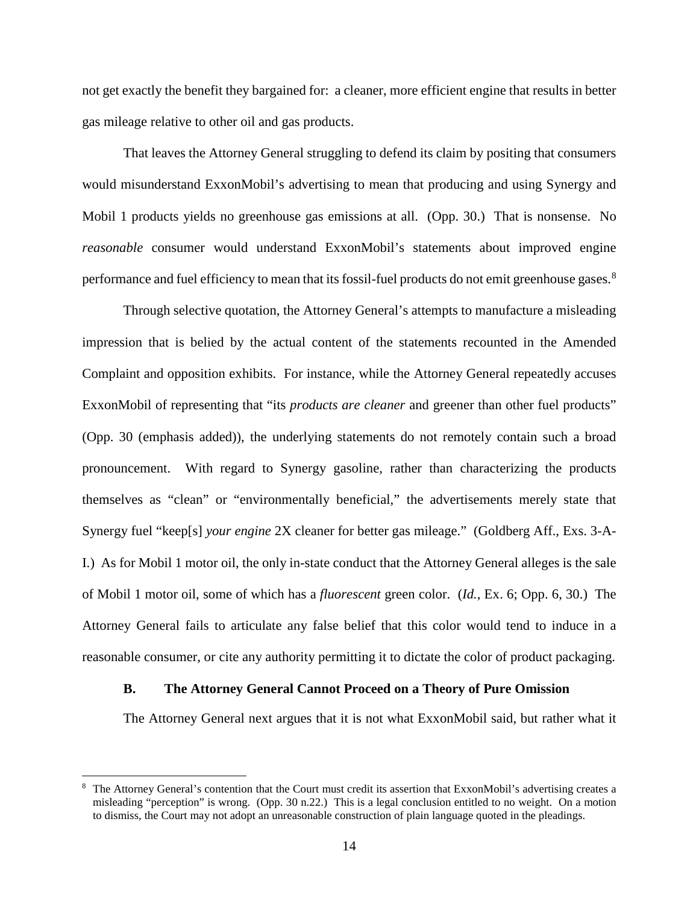not get exactly the benefit they bargained for: a cleaner, more efficient engine that results in better gas mileage relative to other oil and gas products.

That leaves the Attorney General struggling to defend its claim by positing that consumers would misunderstand ExxonMobil's advertising to mean that producing and using Synergy and Mobil 1 products yields no greenhouse gas emissions at all. (Opp. 30.) That is nonsense. No *reasonable* consumer would understand ExxonMobil's statements about improved engine performance and fuel efficiency to mean that its fossil-fuel products do not emit greenhouse gases.<sup>8</sup>

Through selective quotation, the Attorney General's attempts to manufacture a misleading impression that is belied by the actual content of the statements recounted in the Amended Complaint and opposition exhibits. For instance, while the Attorney General repeatedly accuses ExxonMobil of representing that "its *products are cleaner* and greener than other fuel products" (Opp. 30 (emphasis added)), the underlying statements do not remotely contain such a broad pronouncement. With regard to Synergy gasoline, rather than characterizing the products themselves as "clean" or "environmentally beneficial," the advertisements merely state that Synergy fuel "keep[s] *your engine* 2X cleaner for better gas mileage." (Goldberg Aff., Exs. 3-A-I.) As for Mobil 1 motor oil, the only in-state conduct that the Attorney General alleges is the sale of Mobil 1 motor oil, some of which has a *fluorescent* green color. (*Id.*, Ex. 6; Opp. 6, 30.) The Attorney General fails to articulate any false belief that this color would tend to induce in a reasonable consumer, or cite any authority permitting it to dictate the color of product packaging.

#### **B. The Attorney General Cannot Proceed on a Theory of Pure Omission**

The Attorney General next argues that it is not what ExxonMobil said, but rather what it

 <sup>8</sup> The Attorney General's contention that the Court must credit its assertion that ExxonMobil's advertising creates a misleading "perception" is wrong. (Opp. 30 n.22.) This is a legal conclusion entitled to no weight. On a motion to dismiss, the Court may not adopt an unreasonable construction of plain language quoted in the pleadings.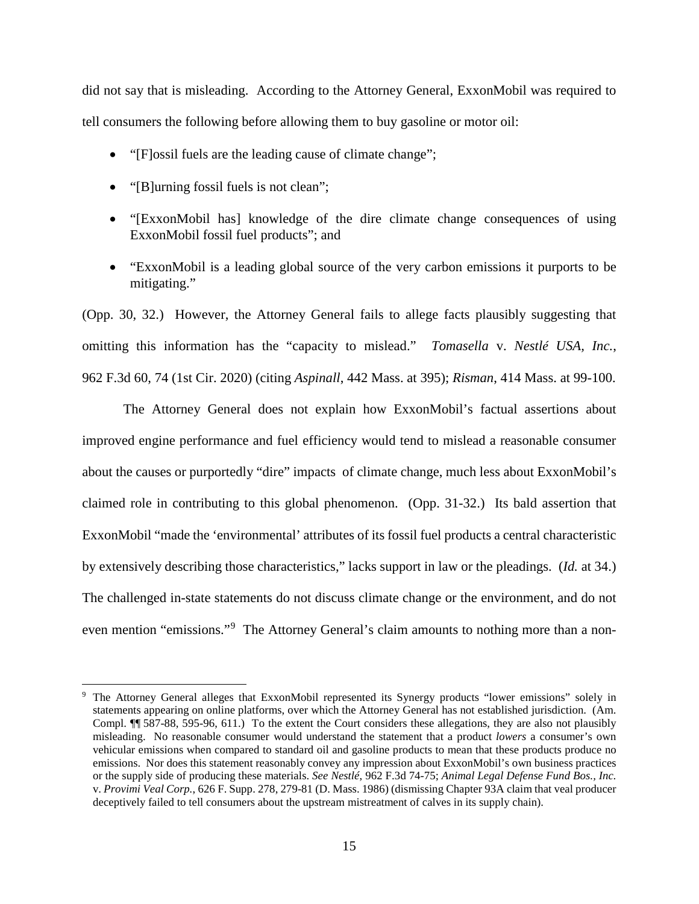did not say that is misleading. According to the Attorney General, ExxonMobil was required to tell consumers the following before allowing them to buy gasoline or motor oil:

- "[F]ossil fuels are the leading cause of climate change";
- "[B]urning fossil fuels is not clean";
- "[ExxonMobil has] knowledge of the dire climate change consequences of using ExxonMobil fossil fuel products"; and
- "ExxonMobil is a leading global source of the very carbon emissions it purports to be mitigating."

(Opp. 30, 32.) However, the Attorney General fails to allege facts plausibly suggesting that omitting this information has the "capacity to mislead." *Tomasella* v. *Nestlé USA, Inc.*, 962 F.3d 60, 74 (1st Cir. 2020) (citing *Aspinall*, 442 Mass. at 395); *Risman*, 414 Mass. at 99-100.

The Attorney General does not explain how ExxonMobil's factual assertions about improved engine performance and fuel efficiency would tend to mislead a reasonable consumer about the causes or purportedly "dire" impacts of climate change, much less about ExxonMobil's claimed role in contributing to this global phenomenon. (Opp. 31-32.) Its bald assertion that ExxonMobil "made the 'environmental' attributes of its fossil fuel products a central characteristic by extensively describing those characteristics," lacks support in law or the pleadings. (*Id.* at 34.) The challenged in-state statements do not discuss climate change or the environment, and do not even mention "emissions."<sup>9</sup> The Attorney General's claim amounts to nothing more than a non-

 <sup>9</sup> The Attorney General alleges that ExxonMobil represented its Synergy products "lower emissions" solely in statements appearing on online platforms, over which the Attorney General has not established jurisdiction. (Am. Compl. ¶¶ 587-88, 595-96, 611.) To the extent the Court considers these allegations, they are also not plausibly misleading. No reasonable consumer would understand the statement that a product *lowers* a consumer's own vehicular emissions when compared to standard oil and gasoline products to mean that these products produce no emissions. Nor does this statement reasonably convey any impression about ExxonMobil's own business practices or the supply side of producing these materials. *See Nestlé*, 962 F.3d 74-75; *Animal Legal Defense Fund Bos., Inc.* v. *Provimi Veal Corp.*, 626 F. Supp. 278, 279-81 (D. Mass. 1986) (dismissing Chapter 93A claim that veal producer deceptively failed to tell consumers about the upstream mistreatment of calves in its supply chain).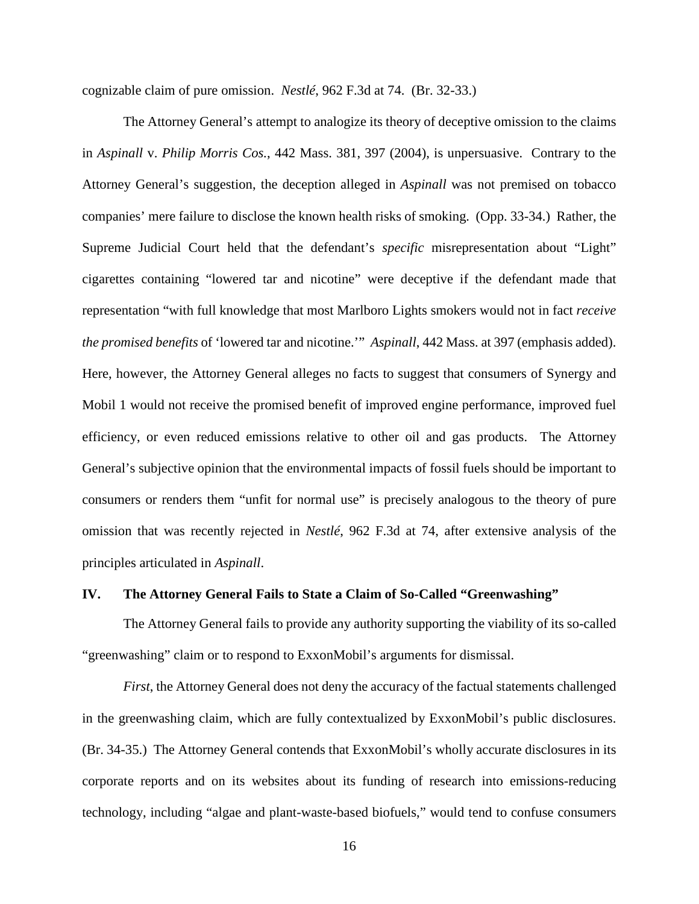cognizable claim of pure omission. *Nestlé*, 962 F.3d at 74. (Br. 32-33.)

The Attorney General's attempt to analogize its theory of deceptive omission to the claims in *Aspinall* v. *Philip Morris Cos.*, 442 Mass. 381, 397 (2004), is unpersuasive. Contrary to the Attorney General's suggestion, the deception alleged in *Aspinall* was not premised on tobacco companies' mere failure to disclose the known health risks of smoking. (Opp. 33-34.) Rather, the Supreme Judicial Court held that the defendant's *specific* misrepresentation about "Light" cigarettes containing "lowered tar and nicotine" were deceptive if the defendant made that representation "with full knowledge that most Marlboro Lights smokers would not in fact *receive the promised benefits* of 'lowered tar and nicotine.'" *Aspinall*, 442 Mass. at 397 (emphasis added). Here, however, the Attorney General alleges no facts to suggest that consumers of Synergy and Mobil 1 would not receive the promised benefit of improved engine performance, improved fuel efficiency, or even reduced emissions relative to other oil and gas products. The Attorney General's subjective opinion that the environmental impacts of fossil fuels should be important to consumers or renders them "unfit for normal use" is precisely analogous to the theory of pure omission that was recently rejected in *Nestlé*, 962 F.3d at 74, after extensive analysis of the principles articulated in *Aspinall*.

#### **IV. The Attorney General Fails to State a Claim of So-Called "Greenwashing"**

The Attorney General fails to provide any authority supporting the viability of its so-called "greenwashing" claim or to respond to ExxonMobil's arguments for dismissal.

*First*, the Attorney General does not deny the accuracy of the factual statements challenged in the greenwashing claim, which are fully contextualized by ExxonMobil's public disclosures. (Br. 34-35.) The Attorney General contends that ExxonMobil's wholly accurate disclosures in its corporate reports and on its websites about its funding of research into emissions-reducing technology, including "algae and plant-waste-based biofuels," would tend to confuse consumers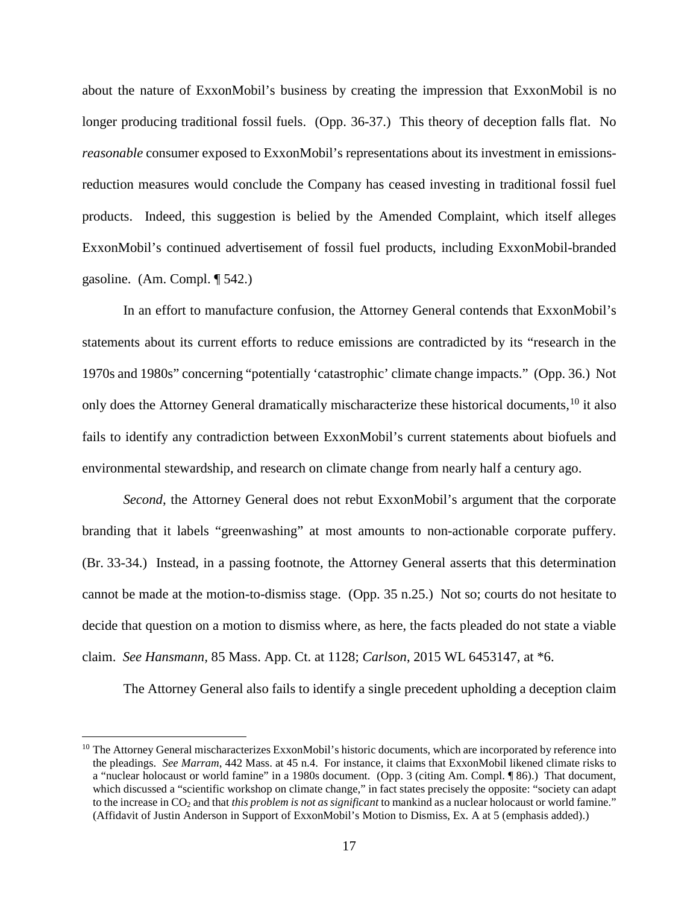about the nature of ExxonMobil's business by creating the impression that ExxonMobil is no longer producing traditional fossil fuels. (Opp. 36-37.) This theory of deception falls flat. No *reasonable* consumer exposed to ExxonMobil's representations about its investment in emissionsreduction measures would conclude the Company has ceased investing in traditional fossil fuel products. Indeed, this suggestion is belied by the Amended Complaint, which itself alleges ExxonMobil's continued advertisement of fossil fuel products, including ExxonMobil-branded gasoline. (Am. Compl. ¶ 542.)

In an effort to manufacture confusion, the Attorney General contends that ExxonMobil's statements about its current efforts to reduce emissions are contradicted by its "research in the 1970s and 1980s" concerning "potentially 'catastrophic' climate change impacts." (Opp. 36.) Not only does the Attorney General dramatically mischaracterize these historical documents,<sup>10</sup> it also fails to identify any contradiction between ExxonMobil's current statements about biofuels and environmental stewardship, and research on climate change from nearly half a century ago.

*Second*, the Attorney General does not rebut ExxonMobil's argument that the corporate branding that it labels "greenwashing" at most amounts to non-actionable corporate puffery. (Br. 33-34.) Instead, in a passing footnote, the Attorney General asserts that this determination cannot be made at the motion-to-dismiss stage. (Opp. 35 n.25.) Not so; courts do not hesitate to decide that question on a motion to dismiss where, as here, the facts pleaded do not state a viable claim. *See Hansmann,* 85 Mass. App. Ct. at 1128; *Carlson*, 2015 WL 6453147, at \*6.

The Attorney General also fails to identify a single precedent upholding a deception claim

 $10$  The Attorney General mischaracterizes ExxonMobil's historic documents, which are incorporated by reference into the pleadings. *See Marram*, 442 Mass. at 45 n.4. For instance, it claims that ExxonMobil likened climate risks to a "nuclear holocaust or world famine" in a 1980s document. (Opp. 3 (citing Am. Compl. ¶ 86).) That document, which discussed a "scientific workshop on climate change," in fact states precisely the opposite: "society can adapt to the increase in CO2 and that *this problem is not as significant* to mankind as a nuclear holocaust or world famine." (Affidavit of Justin Anderson in Support of ExxonMobil's Motion to Dismiss, Ex. A at 5 (emphasis added).)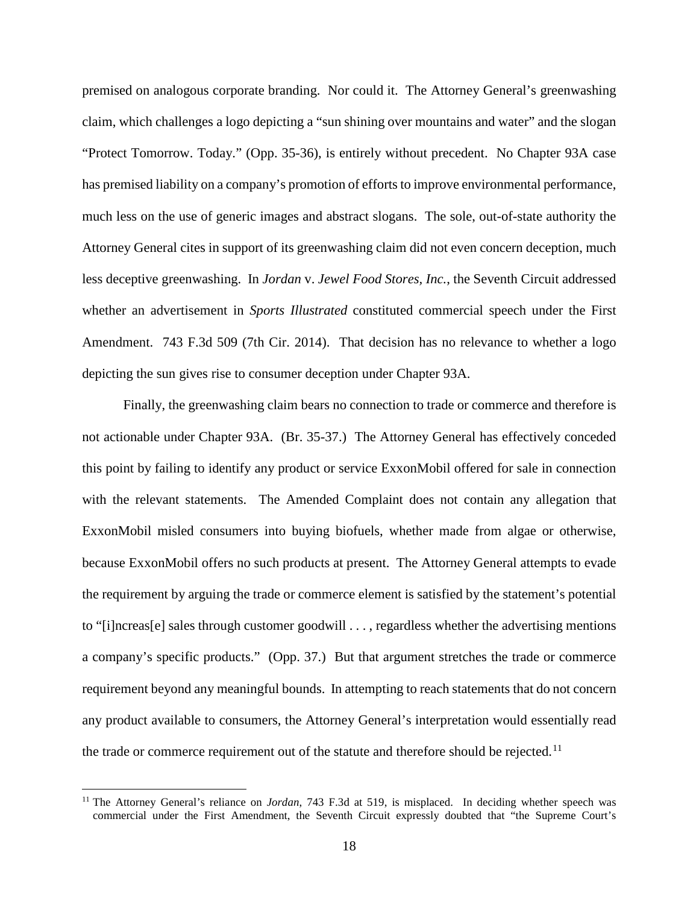premised on analogous corporate branding. Nor could it. The Attorney General's greenwashing claim, which challenges a logo depicting a "sun shining over mountains and water" and the slogan "Protect Tomorrow. Today." (Opp. 35-36), is entirely without precedent. No Chapter 93A case has premised liability on a company's promotion of efforts to improve environmental performance, much less on the use of generic images and abstract slogans. The sole, out-of-state authority the Attorney General cites in support of its greenwashing claim did not even concern deception, much less deceptive greenwashing. In *Jordan* v. *Jewel Food Stores, Inc.*, the Seventh Circuit addressed whether an advertisement in *Sports Illustrated* constituted commercial speech under the First Amendment. 743 F.3d 509 (7th Cir. 2014). That decision has no relevance to whether a logo depicting the sun gives rise to consumer deception under Chapter 93A.

Finally, the greenwashing claim bears no connection to trade or commerce and therefore is not actionable under Chapter 93A. (Br. 35-37.) The Attorney General has effectively conceded this point by failing to identify any product or service ExxonMobil offered for sale in connection with the relevant statements. The Amended Complaint does not contain any allegation that ExxonMobil misled consumers into buying biofuels, whether made from algae or otherwise, because ExxonMobil offers no such products at present. The Attorney General attempts to evade the requirement by arguing the trade or commerce element is satisfied by the statement's potential to "[i]ncreas[e] sales through customer goodwill . . . , regardless whether the advertising mentions a company's specific products." (Opp. 37.) But that argument stretches the trade or commerce requirement beyond any meaningful bounds. In attempting to reach statements that do not concern any product available to consumers, the Attorney General's interpretation would essentially read the trade or commerce requirement out of the statute and therefore should be rejected.<sup>11</sup>

<sup>&</sup>lt;sup>11</sup> The Attorney General's reliance on *Jordan*, 743 F.3d at 519, is misplaced. In deciding whether speech was commercial under the First Amendment, the Seventh Circuit expressly doubted that "the Supreme Court's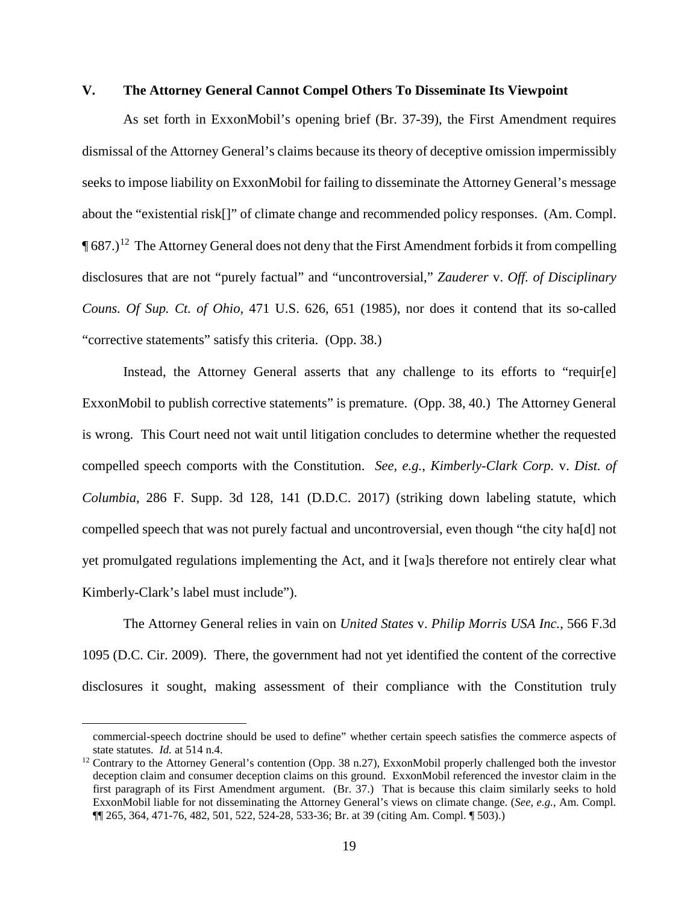#### **V. The Attorney General Cannot Compel Others To Disseminate Its Viewpoint**

As set forth in ExxonMobil's opening brief (Br. 37-39), the First Amendment requires dismissal of the Attorney General's claims because its theory of deceptive omission impermissibly seeks to impose liability on ExxonMobil for failing to disseminate the Attorney General's message about the "existential risk[]" of climate change and recommended policy responses. (Am. Compl.  $\P$  687.)<sup>12</sup> The Attorney General does not deny that the First Amendment forbids it from compelling disclosures that are not "purely factual" and "uncontroversial," *Zauderer* v. *Off. of Disciplinary Couns. Of Sup. Ct. of Ohio*, 471 U.S. 626, 651 (1985), nor does it contend that its so-called "corrective statements" satisfy this criteria. (Opp. 38.)

Instead, the Attorney General asserts that any challenge to its efforts to "requir[e] ExxonMobil to publish corrective statements" is premature. (Opp. 38, 40.) The Attorney General is wrong. This Court need not wait until litigation concludes to determine whether the requested compelled speech comports with the Constitution. *See, e.g.*, *Kimberly-Clark Corp.* v. *Dist. of Columbia*, 286 F. Supp. 3d 128, 141 (D.D.C. 2017) (striking down labeling statute, which compelled speech that was not purely factual and uncontroversial, even though "the city ha[d] not yet promulgated regulations implementing the Act, and it [wa]s therefore not entirely clear what Kimberly-Clark's label must include").

The Attorney General relies in vain on *United States* v. *Philip Morris USA Inc.*, 566 F.3d 1095 (D.C. Cir. 2009). There, the government had not yet identified the content of the corrective disclosures it sought, making assessment of their compliance with the Constitution truly

 $\overline{a}$ 

commercial-speech doctrine should be used to define" whether certain speech satisfies the commerce aspects of state statutes. *Id.* at 514 n.4.<br><sup>12</sup> Contrary to the Attorney General's contention (Opp. 38 n.27), ExxonMobil properly challenged both the investor

deception claim and consumer deception claims on this ground. ExxonMobil referenced the investor claim in the first paragraph of its First Amendment argument. (Br. 37.) That is because this claim similarly seeks to hold ExxonMobil liable for not disseminating the Attorney General's views on climate change. (*See, e.g.*, Am. Compl. ¶¶ 265, 364, 471-76, 482, 501, 522, 524-28, 533-36; Br. at 39 (citing Am. Compl. ¶ 503).)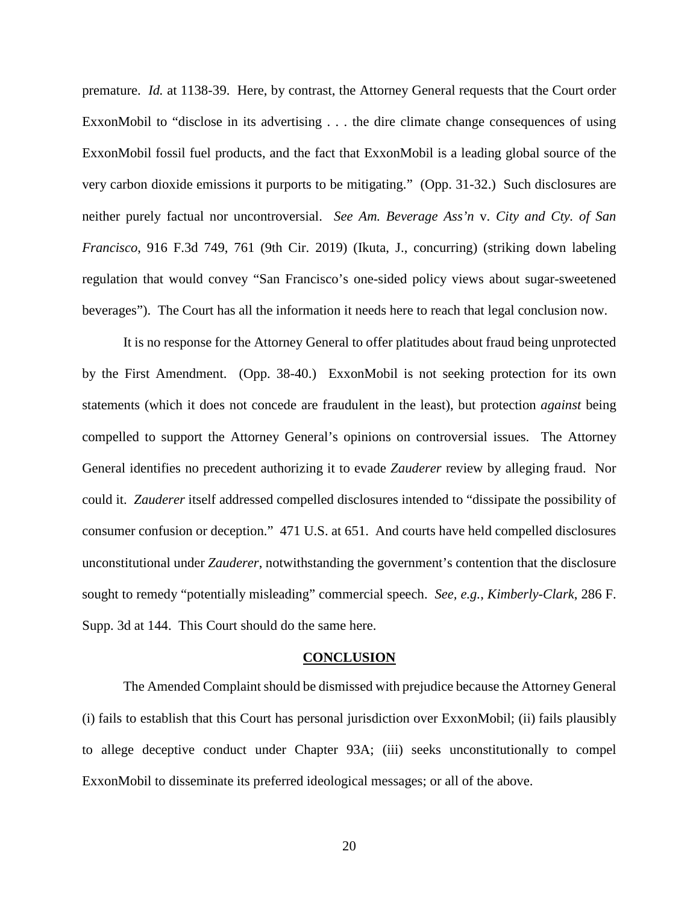premature. *Id.* at 1138-39. Here, by contrast, the Attorney General requests that the Court order ExxonMobil to "disclose in its advertising . . . the dire climate change consequences of using ExxonMobil fossil fuel products, and the fact that ExxonMobil is a leading global source of the very carbon dioxide emissions it purports to be mitigating." (Opp. 31-32.) Such disclosures are neither purely factual nor uncontroversial. *See Am. Beverage Ass'n* v. *City and Cty. of San Francisco*, 916 F.3d 749, 761 (9th Cir. 2019) (Ikuta, J., concurring) (striking down labeling regulation that would convey "San Francisco's one-sided policy views about sugar-sweetened beverages"). The Court has all the information it needs here to reach that legal conclusion now.

It is no response for the Attorney General to offer platitudes about fraud being unprotected by the First Amendment. (Opp. 38-40.) ExxonMobil is not seeking protection for its own statements (which it does not concede are fraudulent in the least), but protection *against* being compelled to support the Attorney General's opinions on controversial issues. The Attorney General identifies no precedent authorizing it to evade *Zauderer* review by alleging fraud. Nor could it. *Zauderer* itself addressed compelled disclosures intended to "dissipate the possibility of consumer confusion or deception." 471 U.S. at 651. And courts have held compelled disclosures unconstitutional under *Zauderer*, notwithstanding the government's contention that the disclosure sought to remedy "potentially misleading" commercial speech. *See, e.g.*, *Kimberly-Clark*, 286 F. Supp. 3d at 144. This Court should do the same here.

#### **CONCLUSION**

The Amended Complaint should be dismissed with prejudice because the Attorney General (i) fails to establish that this Court has personal jurisdiction over ExxonMobil; (ii) fails plausibly to allege deceptive conduct under Chapter 93A; (iii) seeks unconstitutionally to compel ExxonMobil to disseminate its preferred ideological messages; or all of the above.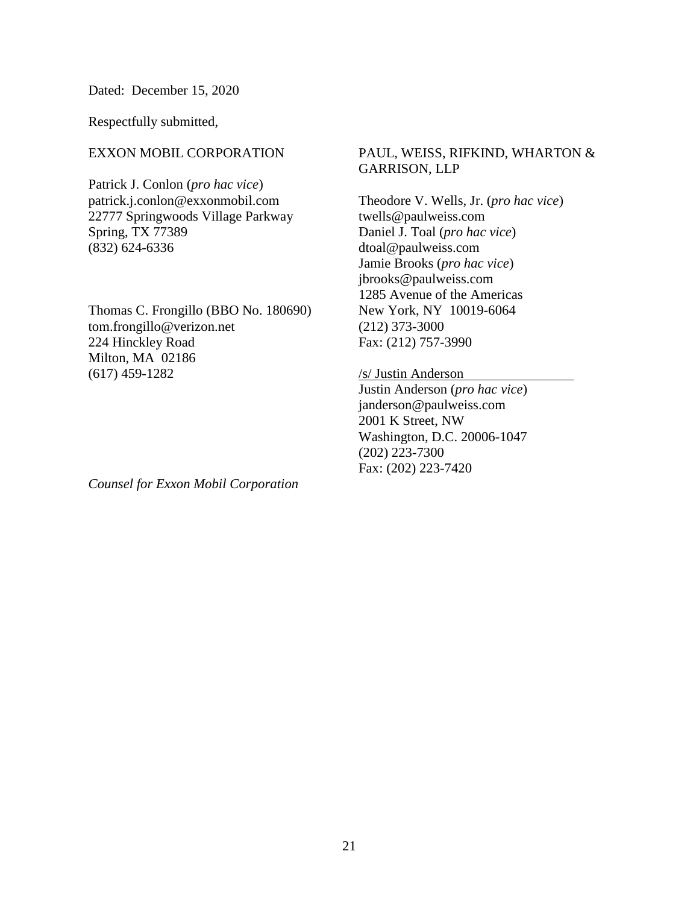Dated: December 15, 2020

Respectfully submitted,

## EXXON MOBIL CORPORATION

Patrick J. Conlon (*pro hac vice*) patrick.j.conlon@exxonmobil.com 22777 Springwoods Village Parkway Spring, TX 77389 (832) 624-6336

Thomas C. Frongillo (BBO No. 180690) tom.frongillo@verizon.net 224 Hinckley Road Milton, MA 02186 (617) 459-1282

## PAUL, WEISS, RIFKIND, WHARTON & GARRISON, LLP

Theodore V. Wells, Jr. (*pro hac vice*) twells@paulweiss.com Daniel J. Toal (*pro hac vice*) dtoal@paulweiss.com Jamie Brooks (*pro hac vice*) jbrooks@paulweiss.com 1285 Avenue of the Americas New York, NY 10019-6064 (212) 373-3000 Fax: (212) 757-3990

## /s/ Justin Anderson

Justin Anderson (*pro hac vice*) janderson@paulweiss.com 2001 K Street, NW Washington, D.C. 20006-1047 (202) 223-7300 Fax: (202) 223-7420

*Counsel for Exxon Mobil Corporation*